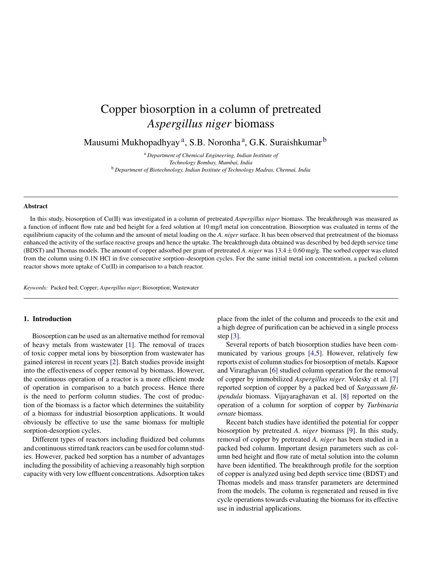# Copper biosorption in a column of pretreated *Aspergillus niger* biomass

Mausumi Mukhopadhyay<sup>a</sup>, S.B. Noronha<sup>a</sup>, G.K. Suraishkumar <sup>b</sup>

<sup>a</sup> *Department of Chemical Engineering, Indian Institute of Technology Bombay, Mumbai, India* <sup>b</sup> *Department of Biotechnology, Indian Institute of Technology Madras, Chennai, India*

#### **Abstract**

In this study, biosorption of Cu(II) was investigated in a column of pretreated *Aspergillus niger* biomass. The breakthrough was measured as a function of influent flow rate and bed height for a feed solution at 10 mg/l metal ion concentration. Biosorption was evaluated in terms of the equilibrium capacity of the column and the amount of metal loading on the *A. niger* surface. It has been observed that pretreatment of the biomass enhanced the activity of the surface reactive groups and hence the uptake. The breakthrough data obtained was described by bed depth service time (BDST) and Thomas models. The amount of copper adsorbed per gram of pretreated *A. niger* was 13.4 ± 0.60 mg/g. The sorbed copper was eluted from the column using 0.1N HCl in five consecutive sorption–desorption cycles. For the same initial metal ion concentration, a packed column reactor shows more uptake of Cu(II) in comparison to a batch reactor.

*Keywords:* Packed bed; Copper; *Aspergillus niger*; Biosorption; Wastewater

# **1. Introduction**

Biosorption can be used as an alternative method for removal of heavy metals from wastewater [\[1\].](#page-4-0) The removal of traces of toxic copper metal ions by biosorption from wastewater has gained interest in recent years [\[2\]. B](#page-4-0)atch studies provide insight into the effectiveness of copper removal by biomass. However, the continuous operation of a reactor is a more efficient mode of operation in comparison to a batch process. Hence there is the need to perform column studies. The cost of production of the biomass is a factor which determines the suitability of a biomass for industrial biosorption applications. It would obviously be effective to use the same biomass for multiple sorption-desorption cycles.

Different types of reactors including fluidized bed columns and continuous stirred tank reactors can be used for column studies. However, packed bed sorption has a number of advantages including the possibility of achieving a reasonably high sorption capacity with very low effluent concentrations. Adsorption takes

place from the inlet of the column and proceeds to the exit and a high degree of purification can be achieved in a single process step [\[3\].](#page-4-0)

Several reports of batch biosorption studies have been communicated by various groups [\[4,5\].](#page-4-0) However, relatively few reports exist of column studies for biosorption of metals. Kapoor and Viraraghavan [\[6\]](#page-4-0) studied column operation for the removal of copper by immobilized *Aspergillus niger*. Volesky et al. [\[7\]](#page-4-0) reported sorption of copper by a packed bed of *Sargassum filipendula* biomass. Vijayaraghavan et al. [\[8\]](#page-4-0) reported on the operation of a column for sorption of copper by *Turbinaria ornate* biomass.

Recent batch studies have identified the potential for copper biosorption by pretreated *A. niger* biomass [\[9\].](#page-4-0) In this study, removal of copper by pretreated *A. niger* has been studied in a packed bed column. Important design parameters such as column bed height and flow rate of metal solution into the column have been identified. The breakthrough profile for the sorption of copper is analyzed using bed depth service time (BDST) and Thomas models and mass transfer parameters are determined from the models. The column is regenerated and reused in five cycle operations towards evaluating the biomass for its effective use in industrial applications.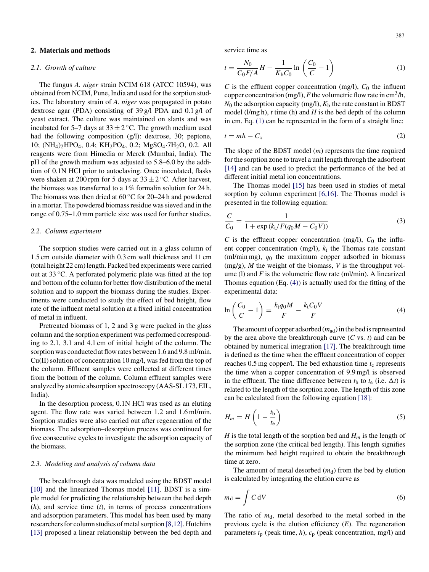# **2. Materials and methods**

## *2.1. Growth of culture*

The fungus *A. niger* strain NCIM 618 (ATCC 10594), was obtained from NCIM, Pune, India and used for the sorption studies. The laboratory strain of *A. niger* was propagated in potato dextrose agar (PDA) consisting of 39 g/l PDA and 0.1 g/l of yeast extract. The culture was maintained on slants and was incubated for 5–7 days at  $33 \pm 2$  °C. The growth medium used had the following composition (g/l): dextrose, 30; peptone, 10; (NH4)2HPO4, 0.4; KH2PO4, 0.2; MgSO4·7H2O, 0.2. All reagents were from Himedia or Merck (Mumbai, India). The pH of the growth medium was adjusted to 5.8–6.0 by the addition of 0.1N HCl prior to autoclaving. Once inoculated, flasks were shaken at 200 rpm for 5 days at  $33 \pm 2$  °C. After harvest, the biomass was transferred to a 1% formalin solution for 24 h. The biomass was then dried at  $60^{\circ}$ C for 20–24 h and powdered in a mortar. The powdered biomass residue was sieved and in the range of 0.75–1.0 mm particle size was used for further studies.

#### *2.2. Column experiment*

The sorption studies were carried out in a glass column of 1.5 cm outside diameter with 0.3 cm wall thickness and 11 cm (total height 22 cm) length. Packed bed experiments were carried out at 33 ◦C. A perforated polymeric plate was fitted at the top and bottom of the column for better flow distribution of the metal solution and to support the biomass during the studies. Experiments were conducted to study the effect of bed height, flow rate of the influent metal solution at a fixed initial concentration of metal in influent.

Pretreated biomass of 1, 2 and 3 g were packed in the glass column and the sorption experiment was performed corresponding to 2.1, 3.1 and 4.1 cm of initial height of the column. The sorption was conducted at flow rates between 1.6 and 9.8 ml/min. Cu(II) solution of concentration 10 mg/l, was fed from the top of the column. Effluent samples were collected at different times from the bottom of the column. Column effluent samples were analyzed by atomic absorption spectroscopy (AAS-SL 173, EIL, India).

In the desorption process, 0.1N HCl was used as an eluting agent. The flow rate was varied between 1.2 and 1.6 ml/min. Sorption studies were also carried out after regeneration of the biomass. The adsorption–desorption process was continued for five consecutive cycles to investigate the adsorption capacity of the biomass.

# *2.3. Modeling and analysis of column data*

The breakthrough data was modeled using the BDST model [\[10\]](#page-4-0) and the linearized Thomas model [\[11\].](#page-4-0) BDST is a simple model for predicting the relationship between the bed depth (*h*), and service time (*t*), in terms of process concentrations and adsorption parameters. This model has been used by many researchers for column studies of metal sorption [\[8,12\]. H](#page-4-0)utchins [\[13\]](#page-4-0) proposed a linear relationship between the bed depth and service time as

$$
t = \frac{N_0}{C_0 F/A} H - \frac{1}{K_b C_0} \ln\left(\frac{C_0}{C} - 1\right)
$$
 (1)

*C* is the effluent copper concentration (mg/l),  $C_0$  the influent copper concentration (mg/l),  $F$  the volumetric flow rate in cm<sup>3</sup>/h,  $N_0$  the adsorption capacity (mg/l),  $K_b$  the rate constant in BDST model (l/mg h), *t* time (h) and *H* is the bed depth of the column in cm. Eq. (1) can be represented in the form of a straight line:

$$
t = mh - C_x \tag{2}
$$

The slope of the BDST model (*m*) represents the time required for the sorption zone to travel a unit length through the adsorbent [\[14\]](#page-4-0) and can be used to predict the performance of the bed at different initial metal ion concentrations.

The Thomas model [\[15\]](#page-4-0) has been used in studies of metal sorption by column experiment [\[6,16\].](#page-4-0) The Thomas model is presented in the following equation:

$$
\frac{C}{C_0} = \frac{1}{1 + \exp\left(k_t/F(q_0M - C_0V)\right)}\tag{3}
$$

*C* is the effluent copper concentration (mg/l),  $C_0$  the influent copper concentration (mg/l),  $k_t$  the Thomas rate constant (ml/min mg), *q*<sup>0</sup> the maximum copper adsorbed in biomass (mg/g), *M* the weight of the biomass, *V* is the throughput volume (l) and *F* is the volumetric flow rate (ml/min). A linearized Thomas equation (Eq. (4)) is actually used for the fitting of the experimental data:

$$
\ln\left(\frac{C_0}{C} - 1\right) = \frac{k \cdot q_0 M}{F} - \frac{k \cdot C_0 V}{F} \tag{4}
$$

The amount of copper adsorbed (*m*ad) in the bed is represented by the area above the breakthrough curve (*C* vs. *t*) and can be obtained by numerical integration [\[17\].](#page-4-0) The breakthrough time is defined as the time when the effluent concentration of copper reaches  $0.5$  mg copper/l. The bed exhaustion time  $t<sub>e</sub>$  represents the time when a copper concentration of 9.9 mg/l is observed in the effluent. The time difference between  $t<sub>b</sub>$  to  $t<sub>e</sub>$  (i.e.  $\Delta t$ ) is related to the length of the sorption zone. The length of this zone can be calculated from the following equation [\[18\]:](#page-4-0)

$$
H_m = H\left(1 - \frac{t_b}{t_e}\right) \tag{5}
$$

*H* is the total length of the sorption bed and  $H_m$  is the length of the sorption zone (the critical bed length). This length signifies the minimum bed height required to obtain the breakthrough time at zero.

The amount of metal desorbed  $(m_d)$  from the bed by elution is calculated by integrating the elution curve as

$$
m_{\rm d} = \int C \, \mathrm{d}V \tag{6}
$$

The ratio of  $m_d$ , metal desorbed to the metal sorbed in the previous cycle is the elution efficiency (*E*). The regeneration parameters  $t_p$  (peak time,  $h$ ),  $c_p$  (peak concentration, mg/l) and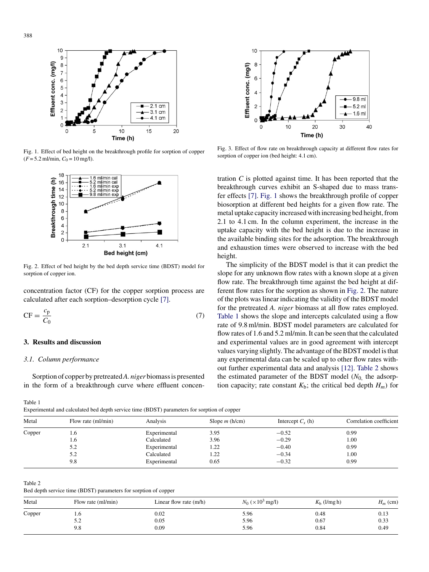<span id="page-2-0"></span>

Fig. 1. Effect of bed height on the breakthrough profile for sorption of copper  $(F = 5.2$  ml/min,  $C_0 = 10$  mg/l).



Fig. 2. Effect of bed height by the bed depth service time (BDST) model for sorption of copper ion.

concentration factor (CF) for the copper sorption process are calculated after each sorption–desorption cycle [\[7\].](#page-4-0)

$$
CF = \frac{c_p}{C_0} \tag{7}
$$

# **3. Results and discussion**

## *3.1. Column performance*

Sorption of copper by pretreated*A. niger* biomass is presented in the form of a breakthrough curve where effluent concen-

#### Table 1

Experimental and calculated bed depth service time (BDST) parameters for sorption of copper



Fig. 3. Effect of flow rate on breakthrough capacity at different flow rates for sorption of copper ion (bed height: 4.1 cm).

tration *C* is plotted against time. It has been reported that the breakthrough curves exhibit an S-shaped due to mass transfer effects [\[7\].](#page-4-0) Fig. 1 shows the breakthrough profile of copper biosorption at different bed heights for a given flow rate. The metal uptake capacity increased with increasing bed height, from 2.1 to 4.1 cm. In the column experiment, the increase in the uptake capacity with the bed height is due to the increase in the available binding sites for the adsorption. The breakthrough and exhaustion times were observed to increase with the bed height.

The simplicity of the BDST model is that it can predict the slope for any unknown flow rates with a known slope at a given flow rate. The breakthrough time against the bed height at different flow rates for the sorption as shown in Fig. 2. The nature of the plots was linear indicating the validity of the BDST model for the pretreated *A. niger* biomass at all flow rates employed. Table 1 shows the slope and intercepts calculated using a flow rate of 9.8 ml/min. BDST model parameters are calculated for flow rates of 1.6 and 5.2 ml/min. It can be seen that the calculated and experimental values are in good agreement with intercept values varying slightly. The advantage of the BDST model is that any experimental data can be scaled up to other flow rates without further experimental data and analysis [\[12\].](#page-4-0) Table 2 shows the estimated parameter of the BDST model  $(N_0)$  the adsorption capacity; rate constant  $K_b$ ; the critical bed depth  $H_m$ ) for

| Metal  | Flow rate (ml/min) | Analysis     | Slope $m$ (h/cm) | Intercept $C_x$ (h) | Correlation coefficient |  |
|--------|--------------------|--------------|------------------|---------------------|-------------------------|--|
| Copper | l.b                | Experimental | 3.95             | $-0.52$             | 0.99                    |  |
|        | 1.6                | Calculated   | 3.96             | $-0.29$             | 1.00                    |  |
|        | 5.2                | Experimental | 1.22             | $-0.40$             | 0.99                    |  |
|        | 5.2                | Calculated   | 1.22             | $-0.34$             | 1.00                    |  |
|        | 9.8                | Experimental | 0.65             | $-0.32$             | 0.99                    |  |

Table 2

Bed depth service time (BDST) parameters for sorption of copper

| Metal  | Flow rate (ml/min) | Linear flow rate $(m/h)$ | $N_0 \ ( \times 10^3 \text{ mg/l} )$ | $Kb$ (l/mg h) | $H_m$ (cm) |
|--------|--------------------|--------------------------|--------------------------------------|---------------|------------|
| Copper | 1.O                | 0.02                     | 5.96                                 | 0.48          | 0.13       |
|        | 57<br>ے.د          | 0.05                     | 5.96                                 | 0.67          | 0.33       |
|        | 9.8                | 0.09                     | 5.96                                 | 0.84          | 0.49       |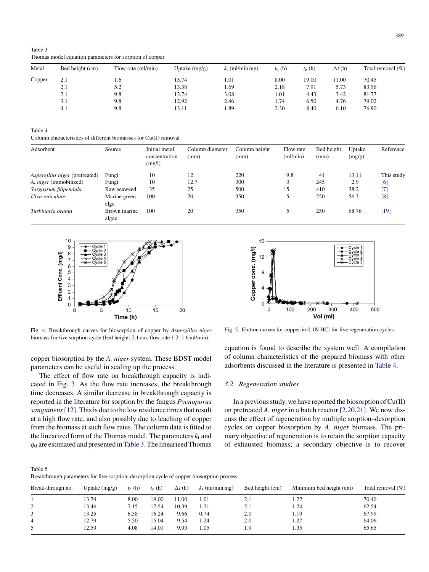| Metal  | Bed height (cm) | Flow rate (ml/min) | Uptake $(mg/g)$ | $k_t$ (ml/min mg) | $t_{\rm b}$ (h) | $t_e$ (h) | $\Delta t$ (h) | Total removal $(\% )$ |
|--------|-----------------|--------------------|-----------------|-------------------|-----------------|-----------|----------------|-----------------------|
| Copper | 2.1             | 1.6                | 13.74           | 1.01              | 8.00            | 19.00     | 1.00           | 70.45                 |
|        | 2.1             | 5.2                | 13.38           | 1.69              | 2.18            | 7.91      | 5.73           | 83.96                 |
|        | 2.1             | 9.8                | 12.74           | 3.08              | 1.01            | 4.43      | 3.42           | 81.77                 |
|        | 3.1             | 9.8                | 12.92           | 2.46              | 1.74            | 6.50      | 4.76           | 79.02                 |
|        | 4.1             | 9.8                | 13.11           | 1.89              | 2.30            | 8.40      | 6.10           | 76.90                 |

<span id="page-3-0"></span>Table 3 Thomas model equation parameters for sorption of copper

Table 4

Column characteristics of different biomasses for Cu(II) removal

| Adsorbent                             | Source                | Initial metal<br>concentration<br>(mg/l) | Column diameter<br>(mm) | Column height<br>(mm) | Flow rate<br>ml/min | Bed height<br>(mm) | Uptake<br>(mg/g) | Reference  |
|---------------------------------------|-----------------------|------------------------------------------|-------------------------|-----------------------|---------------------|--------------------|------------------|------------|
| <i>Aspergillus niger</i> (pretreated) | Fungi                 | 10                                       | 12                      | 220                   | 9.8                 | 41                 | 13.11            | This study |
| A. niger (immobilized)                | Fungi                 | 10                                       | 12.7                    | 300                   | 3                   | 245                | 2.9              | [6]        |
| Sargassum filipendula                 | Raw seaweed           | 35                                       | 25                      | 500                   | 15                  | 410                | 38.2             | $[7]$      |
| Ulva reticulate                       | Marine green<br>alga  | 100                                      | 20                      | 350                   |                     | 250                | 56.3             | [8]        |
| Turbinaria oranta                     | Brown marine<br>algae | 100                                      | 20                      | 350                   |                     | 250                | 68.76            | $[19]$     |



Fig. 4. Breakthrough curves for biosorption of copper by *Aspergillus niger* biomass for five sorption cycle (bed height: 2.1 cm, flow rate 1.2–1.6 ml/min).

copper biosorption by the *A. niger* system. These BDST model parameters can be useful in scaling up the process.

The effect of flow rate on breakthrough capacity is indicated in [Fig. 3.](#page-2-0) As the flow rate increases, the breakthrough time decreases. A similar decrease in breakthrough capacity is reported in the literature for sorption by the fungus *Pycnoporus sanguineus*[\[12\]. T](#page-4-0)his is due to the low residence times that result at a high flow rate, and also possibly due to leaching of copper from the biomass at such flow rates. The column data is fitted to the linearized form of the Thomas model. The parameters  $k_t$  and *q*<sup>0</sup> are estimated and presented inTable 3. The linearized Thomas



Fig. 5. Elution curves for copper in 0.1N HCl for five regeneration cycles.

equation is found to describe the system well. A compilation of column characteristics of the prepared biomass with other adsorbents discussed in the literature is presented in Table 4.

# *3.2. Regeneration studies*

In a previous study, we have reported the biosorption of Cu(II) on pretreated *A. niger* in a batch reactor [\[2,20,21\]. W](#page-4-0)e now discuss the effect of regeneration by multiple sorption–desorption cycles on copper biosorption by *A. niger* biomass. The primary objective of regeneration is to retain the sorption capacity of exhausted biomass; a secondary objective is to recover

Table 5 Breakthrough parameters for five sorption–desorption cycle of copper biosorption process

| Break-through no. | Uptake $(mg/g)$ | $t_{\rm h}$ (h) | $t_e$ (h) | $\Delta t$ (h) | $k_t$ (ml/min mg) | Bed height (cm) | Minimum bed height (cm) | Total removal $(\% )$ |
|-------------------|-----------------|-----------------|-----------|----------------|-------------------|-----------------|-------------------------|-----------------------|
|                   | 13.74           | 8.00            | 19.00     | 11.00          | 1.01              | 2.1             | 1.22                    | 70.40                 |
| ∠                 | 13.46           | 7.15            | 17.54     | 10.39          | 1.21              | 2.1             | 1.24                    | 62.54                 |
|                   | 13.25           | 6.58            | 16.24     | 9.66           | 0.74              | 2.0             | 1.19                    | 67.99                 |
| 4                 | 12.79           | 5.50            | 15.04     | 9.54           | 1.24              | 2.0             | 1.27                    | 64.06                 |
|                   | 12.59           | 4.08            | 14.01     | 9.93           | 1.05              | 1.9             | 1.35                    | 65.65                 |